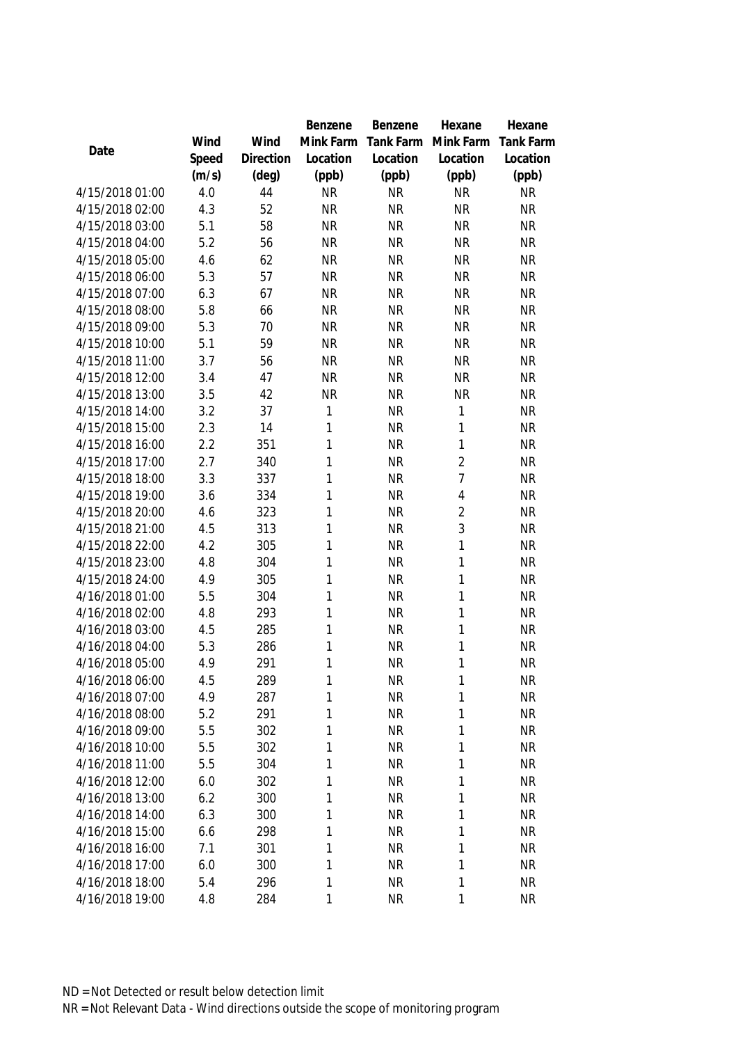|                 |            |                | Benzene           | Benzene                | Hexane                       | Hexane           |
|-----------------|------------|----------------|-------------------|------------------------|------------------------------|------------------|
|                 | Wind       | Wind           | Mink Farm         | Tank Farm              | Mink Farm                    | <b>Tank Farm</b> |
| Date            | Speed      | Direction      | Location          | Location               | Location                     | Location         |
|                 | (m/s)      | $(\text{deg})$ | (ppb)             | (ppb)                  | (ppb)                        | (ppb)            |
| 4/15/2018 01:00 | 4.0        | 44             | <b>NR</b>         | <b>NR</b>              | <b>NR</b>                    | <b>NR</b>        |
| 4/15/2018 02:00 | 4.3        | 52             | <b>NR</b>         | <b>NR</b>              | <b>NR</b>                    | <b>NR</b>        |
| 4/15/2018 03:00 | 5.1        | 58             | <b>NR</b>         | <b>NR</b>              | <b>NR</b>                    | <b>NR</b>        |
| 4/15/2018 04:00 | 5.2        | 56             | <b>NR</b>         | <b>NR</b>              | <b>NR</b>                    | <b>NR</b>        |
| 4/15/2018 05:00 | 4.6        | 62             | <b>NR</b>         | <b>NR</b>              | <b>NR</b>                    | <b>NR</b>        |
| 4/15/2018 06:00 | 5.3        | 57             | <b>NR</b>         | <b>NR</b>              | <b>NR</b>                    | <b>NR</b>        |
| 4/15/2018 07:00 | 6.3        | 67             | <b>NR</b>         | <b>NR</b>              | <b>NR</b>                    | <b>NR</b>        |
| 4/15/2018 08:00 | 5.8        | 66             | <b>NR</b>         | <b>NR</b>              | <b>NR</b>                    | <b>NR</b>        |
| 4/15/2018 09:00 | 5.3        | 70             | <b>NR</b>         | <b>NR</b>              | <b>NR</b>                    | <b>NR</b>        |
| 4/15/2018 10:00 | 5.1        | 59             | <b>NR</b>         | <b>NR</b>              | <b>NR</b>                    | <b>NR</b>        |
| 4/15/2018 11:00 | 3.7        | 56             | <b>NR</b>         | <b>NR</b>              | <b>NR</b>                    | <b>NR</b>        |
| 4/15/2018 12:00 | 3.4        | 47             | <b>NR</b>         | <b>NR</b>              | <b>NR</b>                    | <b>NR</b>        |
| 4/15/2018 13:00 | 3.5        | 42             | <b>NR</b>         | <b>NR</b>              | <b>NR</b>                    | <b>NR</b>        |
| 4/15/2018 14:00 | 3.2        | 37             | 1                 | <b>NR</b>              | $\mathbf{1}$                 | <b>NR</b>        |
| 4/15/2018 15:00 | 2.3        | 14             | $\mathbf{1}$      | <b>NR</b>              | $\mathbf{1}$                 | <b>NR</b>        |
| 4/15/2018 16:00 | 2.2        | 351            | $\mathbf{1}$      | <b>NR</b>              | $\mathbf{1}$                 | <b>NR</b>        |
| 4/15/2018 17:00 | 2.7        | 340            | $\mathbf{1}$      | <b>NR</b>              | $\overline{2}$               | <b>NR</b>        |
| 4/15/2018 18:00 | 3.3        | 337            | $\mathbf{1}$      | <b>NR</b>              | $\overline{7}$               | <b>NR</b>        |
| 4/15/2018 19:00 | 3.6        | 334            | $\mathbf{1}$      | <b>NR</b>              | 4                            | <b>NR</b>        |
| 4/15/2018 20:00 | 4.6        | 323            | 1                 | <b>NR</b>              | $\overline{2}$               | <b>NR</b>        |
| 4/15/2018 21:00 | 4.5        | 313            | 1                 | <b>NR</b>              | 3                            | <b>NR</b>        |
| 4/15/2018 22:00 | 4.2        | 305            | 1                 | <b>NR</b>              | $\mathbf{1}$                 | <b>NR</b>        |
| 4/15/2018 23:00 | 4.8        | 304            | 1                 | <b>NR</b>              | $\mathbf{1}$                 | <b>NR</b>        |
| 4/15/2018 24:00 | 4.9        | 305            | 1                 | <b>NR</b>              | $\mathbf{1}$                 | <b>NR</b>        |
| 4/16/2018 01:00 | 5.5        | 304            | 1                 | <b>NR</b>              | $\mathbf{1}$                 | <b>NR</b>        |
| 4/16/2018 02:00 | 4.8        | 293            | $\mathbf{1}$      | <b>NR</b>              | $\mathbf{1}$                 | <b>NR</b>        |
| 4/16/2018 03:00 | 4.5        | 285            | $\mathbf{1}$      | <b>NR</b>              | $\mathbf{1}$                 | <b>NR</b>        |
| 4/16/2018 04:00 | 5.3        | 286            | $\mathbf{1}$      | <b>NR</b>              | $\mathbf{1}$                 | <b>NR</b>        |
| 4/16/2018 05:00 | 4.9        | 291            | 1                 | <b>NR</b>              | 1                            | <b>NR</b>        |
| 4/16/2018 06:00 | 4.5        | 289            | 1                 | <b>NR</b>              | 1                            | <b>NR</b>        |
| 4/16/2018 07:00 | 4.9        | 287            | 1                 | <b>NR</b>              | 1                            | <b>NR</b>        |
| 4/16/2018 08:00 | 5.2        | 291            | 1                 | <b>NR</b>              | $\mathbf{1}$                 | <b>NR</b>        |
| 4/16/2018 09:00 | 5.5        | 302            | 1                 | <b>NR</b>              | 1                            | <b>NR</b>        |
| 4/16/2018 10:00 | 5.5        | 302            | 1                 | <b>NR</b>              | $\mathbf{1}$                 | <b>NR</b>        |
| 4/16/2018 11:00 | 5.5        | 304            | 1                 | <b>NR</b>              | 1                            | <b>NR</b>        |
| 4/16/2018 12:00 | 6.0        | 302            | $\mathbf{1}$      | <b>NR</b>              | $\mathbf{1}$                 | <b>NR</b>        |
| 4/16/2018 13:00 | 6.2        | 300            | $\mathbf{1}$      | <b>NR</b>              | $\mathbf{1}$                 | <b>NR</b>        |
| 4/16/2018 14:00 | 6.3        | 300            | $\mathbf{1}$      | <b>NR</b>              | $\mathbf{1}$                 | <b>NR</b>        |
| 4/16/2018 15:00 | 6.6<br>7.1 | 298            | 1<br>$\mathbf{1}$ | <b>NR</b><br><b>NR</b> | $\mathbf{1}$<br>$\mathbf{1}$ | <b>NR</b>        |
| 4/16/2018 16:00 |            | 301            | $\mathbf{1}$      | <b>NR</b>              | $\mathbf{1}$                 | <b>NR</b>        |
| 4/16/2018 17:00 | 6.0        | 300            |                   |                        |                              | <b>NR</b>        |
| 4/16/2018 18:00 | 5.4        | 296            | 1                 | <b>NR</b>              | 1                            | <b>NR</b>        |
| 4/16/2018 19:00 | 4.8        | 284            | 1                 | <b>NR</b>              | 1                            | <b>NR</b>        |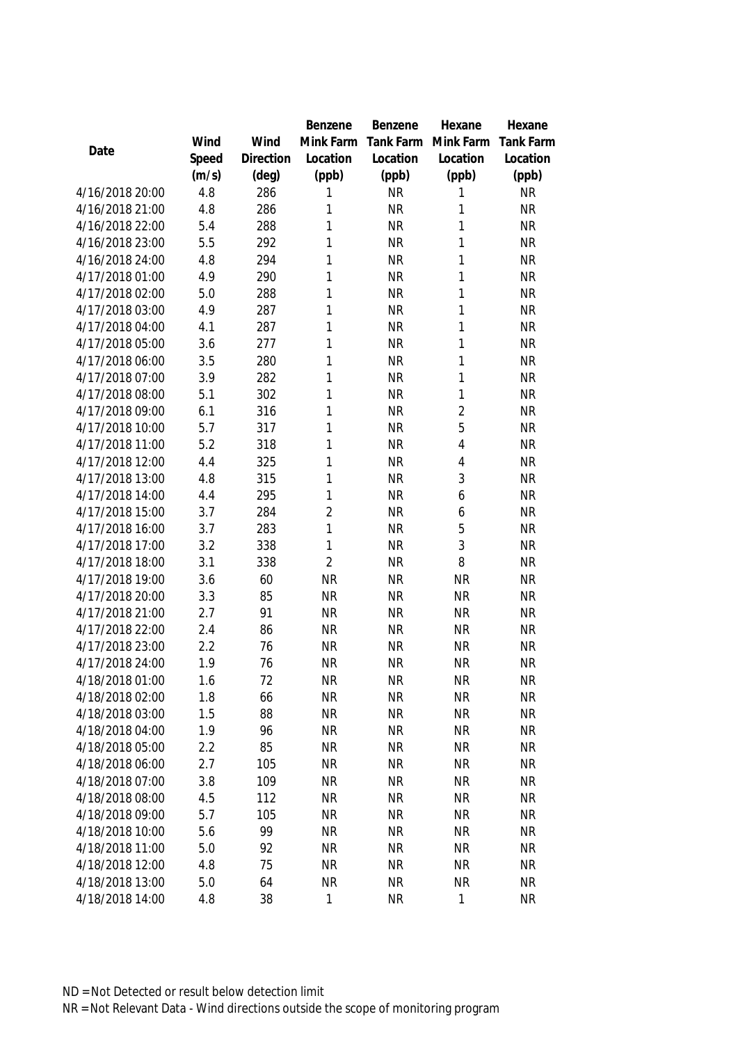|                                    |            |                | Benzene                | Benzene                | Hexane                 | Hexane                 |
|------------------------------------|------------|----------------|------------------------|------------------------|------------------------|------------------------|
|                                    | Wind       | Wind           | Mink Farm              | Tank Farm              | Mink Farm              | <b>Tank Farm</b>       |
| Date                               | Speed      | Direction      | Location               | Location               | Location               | Location               |
|                                    | (m/s)      | $(\text{deg})$ | (ppb)                  | (ppb)                  | (ppb)                  | (ppb)                  |
| 4/16/2018 20:00                    | 4.8        | 286            | 1                      | <b>NR</b>              | 1                      | <b>NR</b>              |
| 4/16/2018 21:00                    | 4.8        | 286            | 1                      | <b>NR</b>              | 1                      | <b>NR</b>              |
| 4/16/2018 22:00                    | 5.4        | 288            | 1                      | <b>NR</b>              | 1                      | <b>NR</b>              |
| 4/16/2018 23:00                    | 5.5        | 292            | 1                      | <b>NR</b>              | 1                      | <b>NR</b>              |
| 4/16/2018 24:00                    | 4.8        | 294            | 1                      | <b>NR</b>              | 1                      | <b>NR</b>              |
| 4/17/2018 01:00                    | 4.9        | 290            | 1                      | <b>NR</b>              | 1                      | <b>NR</b>              |
| 4/17/2018 02:00                    | 5.0        | 288            | 1                      | <b>NR</b>              | 1                      | <b>NR</b>              |
| 4/17/2018 03:00                    | 4.9        | 287            | 1                      | <b>NR</b>              | 1                      | <b>NR</b>              |
| 4/17/2018 04:00                    | 4.1        | 287            | 1                      | <b>NR</b>              | $\mathbf{1}$           | <b>NR</b>              |
| 4/17/2018 05:00                    | 3.6        | 277            | 1                      | <b>NR</b>              | 1                      | <b>NR</b>              |
| 4/17/2018 06:00                    | 3.5        | 280            | 1                      | <b>NR</b>              | $\mathbf{1}$           | <b>NR</b>              |
| 4/17/2018 07:00                    | 3.9        | 282            | 1                      | <b>NR</b>              | 1                      | <b>NR</b>              |
| 4/17/2018 08:00                    | 5.1        | 302            | 1                      | <b>NR</b>              | 1                      | <b>NR</b>              |
| 4/17/2018 09:00                    | 6.1        | 316            | 1                      | <b>NR</b>              | $\overline{2}$         | <b>NR</b>              |
| 4/17/2018 10:00                    | 5.7        | 317            | 1                      | <b>NR</b>              | 5                      | <b>NR</b>              |
| 4/17/2018 11:00                    | 5.2        | 318            | 1                      | <b>NR</b>              | $\overline{4}$         | <b>NR</b>              |
| 4/17/2018 12:00                    | 4.4        | 325            | 1                      | <b>NR</b>              | $\overline{4}$         | <b>NR</b>              |
| 4/17/2018 13:00                    | 4.8        | 315            | 1                      | <b>NR</b>              | 3                      | <b>NR</b>              |
| 4/17/2018 14:00                    | 4.4        | 295            | 1                      | <b>NR</b>              | 6                      | <b>NR</b>              |
| 4/17/2018 15:00                    | 3.7        | 284            | $\overline{2}$         | <b>NR</b>              | 6                      | <b>NR</b>              |
| 4/17/2018 16:00                    | 3.7        | 283            | 1                      | <b>NR</b>              | 5                      | <b>NR</b>              |
| 4/17/2018 17:00                    | 3.2        | 338            | 1                      | <b>NR</b>              | 3                      | <b>NR</b>              |
| 4/17/2018 18:00                    | 3.1        | 338            | $\overline{2}$         | <b>NR</b>              | 8                      | <b>NR</b>              |
| 4/17/2018 19:00                    | 3.6        | 60             | <b>NR</b>              | <b>NR</b>              | <b>NR</b>              | <b>NR</b>              |
| 4/17/2018 20:00                    | 3.3        | 85             | <b>NR</b>              | <b>NR</b>              | <b>NR</b>              | <b>NR</b>              |
| 4/17/2018 21:00                    | 2.7        | 91             | <b>NR</b>              | <b>NR</b>              | <b>NR</b>              | <b>NR</b>              |
| 4/17/2018 22:00                    | 2.4        | 86             | <b>NR</b>              | <b>NR</b>              | <b>NR</b>              | <b>NR</b>              |
| 4/17/2018 23:00                    | 2.2        | 76             | <b>NR</b>              | <b>NR</b>              | <b>NR</b>              | <b>NR</b>              |
| 4/17/2018 24:00                    | 1.9        | 76             | <b>NR</b>              | <b>NR</b>              | <b>NR</b>              | <b>NR</b>              |
| 4/18/2018 01:00                    | 1.6        | 72             | <b>NR</b>              | <b>NR</b>              | <b>NR</b>              | <b>NR</b>              |
| 4/18/2018 02:00                    | 1.8        | 66             | <b>NR</b>              | <b>NR</b>              | <b>NR</b>              | <b>NR</b>              |
| 4/18/2018 03:00                    | 1.5        | 88             | <b>NR</b>              | <b>NR</b>              | <b>NR</b>              | <b>NR</b>              |
| 4/18/2018 04:00                    | 1.9        | 96             | <b>NR</b><br><b>NR</b> | <b>NR</b><br><b>NR</b> | <b>NR</b>              | <b>NR</b>              |
| 4/18/2018 05:00<br>4/18/2018 06:00 | 2.2<br>2.7 | 85<br>105      | <b>NR</b>              | <b>NR</b>              | <b>NR</b><br><b>NR</b> | <b>NR</b><br><b>NR</b> |
| 4/18/2018 07:00                    | 3.8        | 109            | <b>NR</b>              | <b>NR</b>              | <b>NR</b>              | <b>NR</b>              |
| 4/18/2018 08:00                    | 4.5        | 112            | <b>NR</b>              | <b>NR</b>              | <b>NR</b>              | <b>NR</b>              |
| 4/18/2018 09:00                    | 5.7        | 105            | <b>NR</b>              | <b>NR</b>              | <b>NR</b>              | <b>NR</b>              |
| 4/18/2018 10:00                    | 5.6        | 99             | <b>NR</b>              | <b>NR</b>              | <b>NR</b>              | <b>NR</b>              |
| 4/18/2018 11:00                    | 5.0        | 92             | <b>NR</b>              | <b>NR</b>              | <b>NR</b>              | <b>NR</b>              |
| 4/18/2018 12:00                    | 4.8        | 75             | <b>NR</b>              | <b>NR</b>              | <b>NR</b>              | <b>NR</b>              |
| 4/18/2018 13:00                    | 5.0        | 64             | <b>NR</b>              | <b>NR</b>              | <b>NR</b>              | <b>NR</b>              |
| 4/18/2018 14:00                    | 4.8        | 38             | 1                      | <b>NR</b>              | $\mathbf 1$            | <b>NR</b>              |
|                                    |            |                |                        |                        |                        |                        |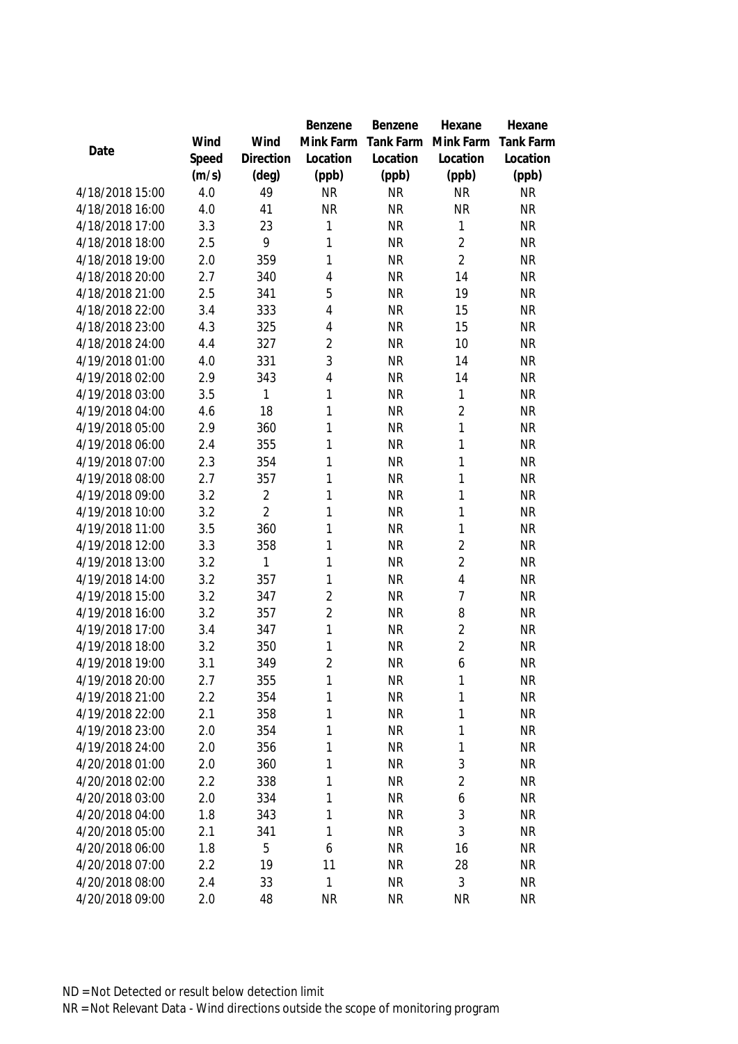|                 |       |                | <b>Benzene</b> | Benzene   | Hexane         | Hexane           |
|-----------------|-------|----------------|----------------|-----------|----------------|------------------|
|                 | Wind  | Wind           | Mink Farm      | Tank Farm | Mink Farm      | <b>Tank Farm</b> |
| Date            | Speed | Direction      | Location       | Location  | Location       | Location         |
|                 | (m/s) | (deg)          | (ppb)          | (ppb)     | (ppb)          | (ppb)            |
| 4/18/2018 15:00 | 4.0   | 49             | <b>NR</b>      | <b>NR</b> | <b>NR</b>      | <b>NR</b>        |
| 4/18/2018 16:00 | 4.0   | 41             | <b>NR</b>      | <b>NR</b> | <b>NR</b>      | <b>NR</b>        |
| 4/18/2018 17:00 | 3.3   | 23             | 1              | <b>NR</b> | 1              | <b>NR</b>        |
| 4/18/2018 18:00 | 2.5   | 9              | $\mathbf{1}$   | <b>NR</b> | $\overline{2}$ | <b>NR</b>        |
| 4/18/2018 19:00 | 2.0   | 359            | $\mathbf{1}$   | <b>NR</b> | $\overline{2}$ | <b>NR</b>        |
| 4/18/2018 20:00 | 2.7   | 340            | $\overline{4}$ | <b>NR</b> | 14             | <b>NR</b>        |
| 4/18/2018 21:00 | 2.5   | 341            | 5              | <b>NR</b> | 19             | <b>NR</b>        |
| 4/18/2018 22:00 | 3.4   | 333            | $\overline{4}$ | <b>NR</b> | 15             | <b>NR</b>        |
| 4/18/2018 23:00 | 4.3   | 325            | $\overline{4}$ | <b>NR</b> | 15             | <b>NR</b>        |
| 4/18/2018 24:00 | 4.4   | 327            | $\overline{2}$ | <b>NR</b> | 10             | <b>NR</b>        |
| 4/19/2018 01:00 | 4.0   | 331            | 3              | <b>NR</b> | 14             | <b>NR</b>        |
| 4/19/2018 02:00 | 2.9   | 343            | $\overline{4}$ | <b>NR</b> | 14             | <b>NR</b>        |
| 4/19/2018 03:00 | 3.5   | 1              | $\mathbf{1}$   | <b>NR</b> | 1              | <b>NR</b>        |
| 4/19/2018 04:00 | 4.6   | 18             | $\mathbf{1}$   | <b>NR</b> | $\overline{2}$ | <b>NR</b>        |
| 4/19/2018 05:00 | 2.9   | 360            | $\mathbf{1}$   | <b>NR</b> | 1              | <b>NR</b>        |
| 4/19/2018 06:00 | 2.4   | 355            | $\mathbf{1}$   | <b>NR</b> | 1              | <b>NR</b>        |
| 4/19/2018 07:00 | 2.3   | 354            | $\mathbf{1}$   | <b>NR</b> | $\mathbf{1}$   | <b>NR</b>        |
| 4/19/2018 08:00 | 2.7   | 357            | $\mathbf{1}$   | <b>NR</b> | $\mathbf{1}$   | <b>NR</b>        |
| 4/19/2018 09:00 | 3.2   | $\overline{2}$ | $\mathbf{1}$   | <b>NR</b> | $\mathbf{1}$   | <b>NR</b>        |
| 4/19/2018 10:00 | 3.2   | $\overline{2}$ | 1              | <b>NR</b> | $\mathbf{1}$   | <b>NR</b>        |
| 4/19/2018 11:00 | 3.5   | 360            | 1              | <b>NR</b> | $\mathbf{1}$   | <b>NR</b>        |
| 4/19/2018 12:00 | 3.3   | 358            | 1              | <b>NR</b> | $\overline{2}$ | <b>NR</b>        |
| 4/19/2018 13:00 | 3.2   | 1              | $\mathbf{1}$   | <b>NR</b> | $\overline{2}$ | <b>NR</b>        |
| 4/19/2018 14:00 | 3.2   | 357            | 1              | <b>NR</b> | $\overline{4}$ | <b>NR</b>        |
| 4/19/2018 15:00 | 3.2   | 347            | $\overline{2}$ | <b>NR</b> | $\overline{7}$ | <b>NR</b>        |
| 4/19/2018 16:00 | 3.2   | 357            | $\overline{2}$ | <b>NR</b> | 8              | <b>NR</b>        |
| 4/19/2018 17:00 | 3.4   | 347            | $\mathbf{1}$   | <b>NR</b> | $\overline{2}$ | <b>NR</b>        |
| 4/19/2018 18:00 | 3.2   | 350            | $\mathbf{1}$   | <b>NR</b> | $\overline{2}$ | <b>NR</b>        |
| 4/19/2018 19:00 | 3.1   | 349            | $\overline{2}$ | <b>NR</b> | 6              | <b>NR</b>        |
| 4/19/2018 20:00 | 2.7   | 355            | 1              | <b>NR</b> | 1              | <b>NR</b>        |
| 4/19/2018 21:00 | 2.2   | 354            | 1              | <b>NR</b> | 1              | <b>NR</b>        |
| 4/19/2018 22:00 | 2.1   | 358            | 1              | <b>NR</b> | $\mathbf{1}$   | <b>NR</b>        |
| 4/19/2018 23:00 | 2.0   | 354            | $\mathbf{1}$   | <b>NR</b> | $\mathbf{1}$   | <b>NR</b>        |
| 4/19/2018 24:00 | 2.0   | 356            | $\mathbf{1}$   | <b>NR</b> | $\mathbf{1}$   | <b>NR</b>        |
| 4/20/2018 01:00 | 2.0   | 360            | $\mathbf{1}$   | <b>NR</b> | 3              | <b>NR</b>        |
| 4/20/2018 02:00 | 2.2   | 338            | $\mathbf{1}$   | <b>NR</b> | $\overline{2}$ | <b>NR</b>        |
| 4/20/2018 03:00 | 2.0   | 334            | $\mathbf{1}$   | <b>NR</b> | 6              | <b>NR</b>        |
| 4/20/2018 04:00 | 1.8   | 343            | $\mathbf{1}$   | <b>NR</b> | 3              | <b>NR</b>        |
| 4/20/2018 05:00 | 2.1   | 341            | 1              | <b>NR</b> | 3              | <b>NR</b>        |
| 4/20/2018 06:00 | 1.8   | 5              | 6              | <b>NR</b> | 16             | <b>NR</b>        |
| 4/20/2018 07:00 | 2.2   | 19             | 11             | <b>NR</b> | 28             | <b>NR</b>        |
| 4/20/2018 08:00 | 2.4   | 33             | $\mathbf{1}$   | <b>NR</b> | 3              | <b>NR</b>        |
| 4/20/2018 09:00 | 2.0   | 48             | <b>NR</b>      | <b>NR</b> | <b>NR</b>      | <b>NR</b>        |